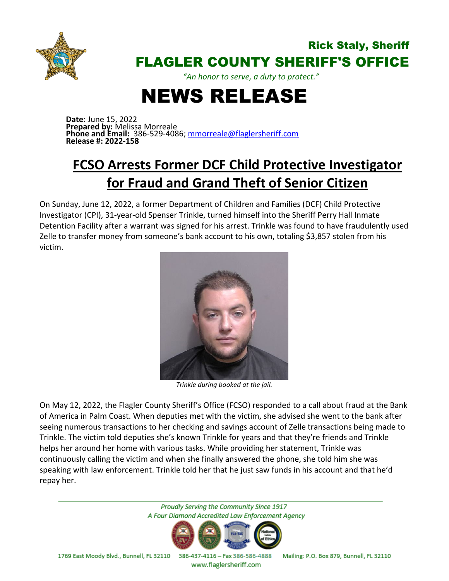

## Rick Staly, Sheriff FLAGLER COUNTY SHERIFF'S OFFICE

*"An honor to serve, a duty to protect."*

## NEWS RELEASE

**Date:** June 15, 2022 **Prepared by:** Melissa Morreale **Phone and Email:** 386-529-4086; [mmorreale@flaglersheriff.com](mailto:mmorreale@flaglersheriff.com) **Release #: 2022-158**

## **FCSO Arrests Former DCF Child Protective Investigator for Fraud and Grand Theft of Senior Citizen**

On Sunday, June 12, 2022, a former Department of Children and Families (DCF) Child Protective Investigator (CPI), 31-year-old Spenser Trinkle, turned himself into the Sheriff Perry Hall Inmate Detention Facility after a warrant was signed for his arrest. Trinkle was found to have fraudulently used Zelle to transfer money from someone's bank account to his own, totaling \$3,857 stolen from his victim.



*Trinkle during booked at the jail.*

On May 12, 2022, the Flagler County Sheriff's Office (FCSO) responded to a call about fraud at the Bank of America in Palm Coast. When deputies met with the victim, she advised she went to the bank after seeing numerous transactions to her checking and savings account of Zelle transactions being made to Trinkle. The victim told deputies she's known Trinkle for years and that they're friends and Trinkle helps her around her home with various tasks. While providing her statement, Trinkle was continuously calling the victim and when she finally answered the phone, she told him she was speaking with law enforcement. Trinkle told her that he just saw funds in his account and that he'd repay her.

> Proudly Serving the Community Since 1917 A Four Diamond Accredited Law Enforcement Agency



1769 East Moody Blvd., Bunnell, FL 32110 386-437-4116 - Fax 386-586-4888 Mailing: P.O. Box 879, Bunnell, FL 32110

www.flaglersheriff.com